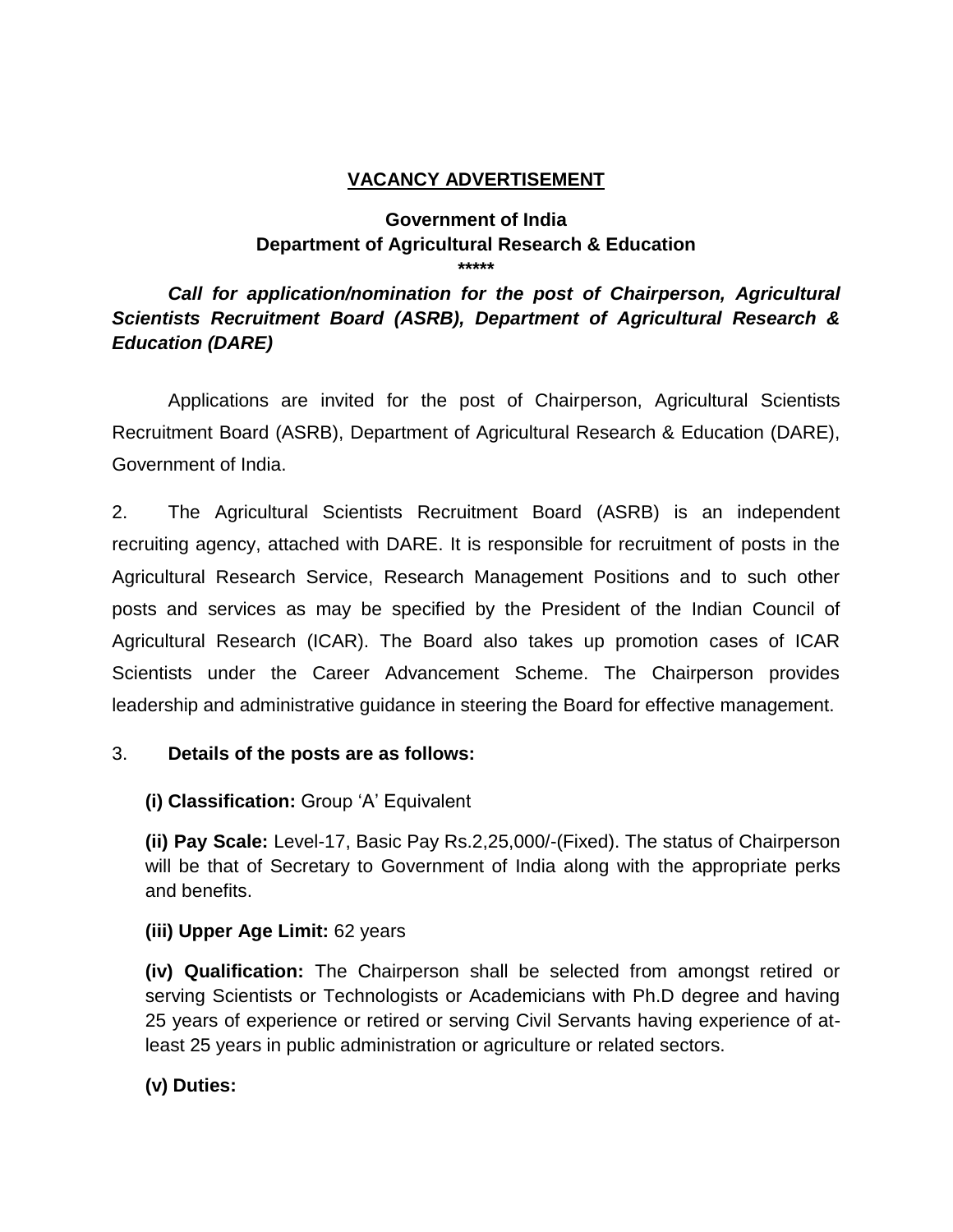#### **VACANCY ADVERTISEMENT**

#### **Government of India Department of Agricultural Research & Education \*\*\*\*\***

## *Call for application/nomination for the post of Chairperson, Agricultural Scientists Recruitment Board (ASRB), Department of Agricultural Research & Education (DARE)*

Applications are invited for the post of Chairperson, Agricultural Scientists Recruitment Board (ASRB), Department of Agricultural Research & Education (DARE), Government of India.

2. The Agricultural Scientists Recruitment Board (ASRB) is an independent recruiting agency, attached with DARE. It is responsible for recruitment of posts in the Agricultural Research Service, Research Management Positions and to such other posts and services as may be specified by the President of the Indian Council of Agricultural Research (ICAR). The Board also takes up promotion cases of ICAR Scientists under the Career Advancement Scheme. The Chairperson provides leadership and administrative guidance in steering the Board for effective management.

## 3. **Details of the posts are as follows:**

**(i) Classification:** Group 'A' Equivalent

**(ii) Pay Scale:** Level-17, Basic Pay Rs.2,25,000/-(Fixed). The status of Chairperson will be that of Secretary to Government of India along with the appropriate perks and benefits.

## **(iii) Upper Age Limit:** 62 years

**(iv) Qualification:** The Chairperson shall be selected from amongst retired or serving Scientists or Technologists or Academicians with Ph.D degree and having 25 years of experience or retired or serving Civil Servants having experience of atleast 25 years in public administration or agriculture or related sectors.

**(v) Duties:**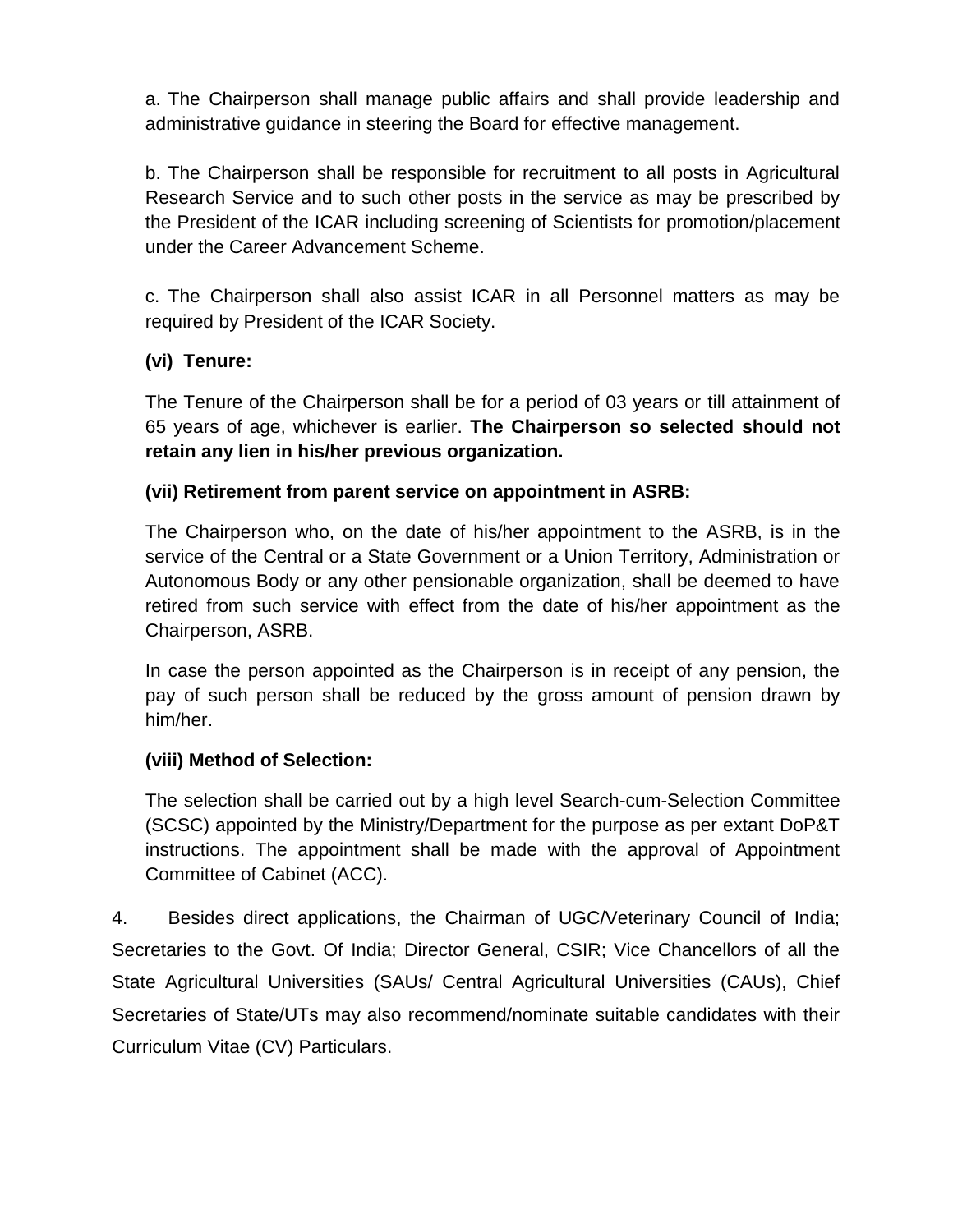a. The Chairperson shall manage public affairs and shall provide leadership and administrative guidance in steering the Board for effective management.

b. The Chairperson shall be responsible for recruitment to all posts in Agricultural Research Service and to such other posts in the service as may be prescribed by the President of the ICAR including screening of Scientists for promotion/placement under the Career Advancement Scheme.

c. The Chairperson shall also assist ICAR in all Personnel matters as may be required by President of the ICAR Society.

## **(vi) Tenure:**

The Tenure of the Chairperson shall be for a period of 03 years or till attainment of 65 years of age, whichever is earlier. **The Chairperson so selected should not retain any lien in his/her previous organization.**

## **(vii) Retirement from parent service on appointment in ASRB:**

The Chairperson who, on the date of his/her appointment to the ASRB, is in the service of the Central or a State Government or a Union Territory, Administration or Autonomous Body or any other pensionable organization, shall be deemed to have retired from such service with effect from the date of his/her appointment as the Chairperson, ASRB.

In case the person appointed as the Chairperson is in receipt of any pension, the pay of such person shall be reduced by the gross amount of pension drawn by him/her.

## **(viii) Method of Selection:**

The selection shall be carried out by a high level Search-cum-Selection Committee (SCSC) appointed by the Ministry/Department for the purpose as per extant DoP&T instructions. The appointment shall be made with the approval of Appointment Committee of Cabinet (ACC).

4. Besides direct applications, the Chairman of UGC/Veterinary Council of India; Secretaries to the Govt. Of India; Director General, CSIR; Vice Chancellors of all the State Agricultural Universities (SAUs/ Central Agricultural Universities (CAUs), Chief Secretaries of State/UTs may also recommend/nominate suitable candidates with their Curriculum Vitae (CV) Particulars.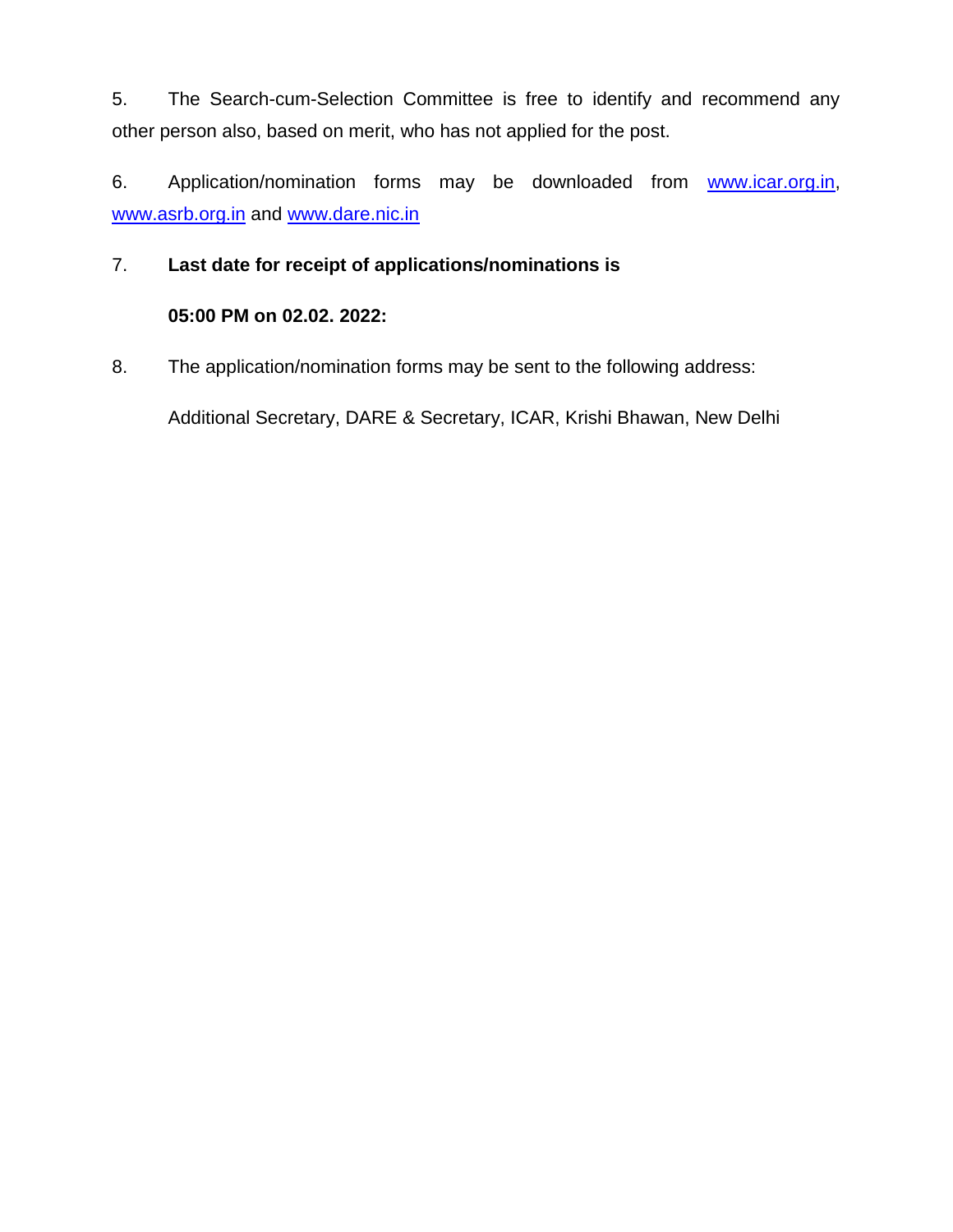5. The Search-cum-Selection Committee is free to identify and recommend any other person also, based on merit, who has not applied for the post.

6. Application/nomination forms may be downloaded from [www.icar.org.in,](http://www.icar.org.in/) [www.asrb.org.in](http://www.asrb.org.in/) and [www.dare.nic.in](http://www.dare.nic.in/)

#### 7. **Last date for receipt of applications/nominations is**

## **05:00 PM on 02.02. 2022:**

8. The application/nomination forms may be sent to the following address:

Additional Secretary, DARE & Secretary, ICAR, Krishi Bhawan, New Delhi